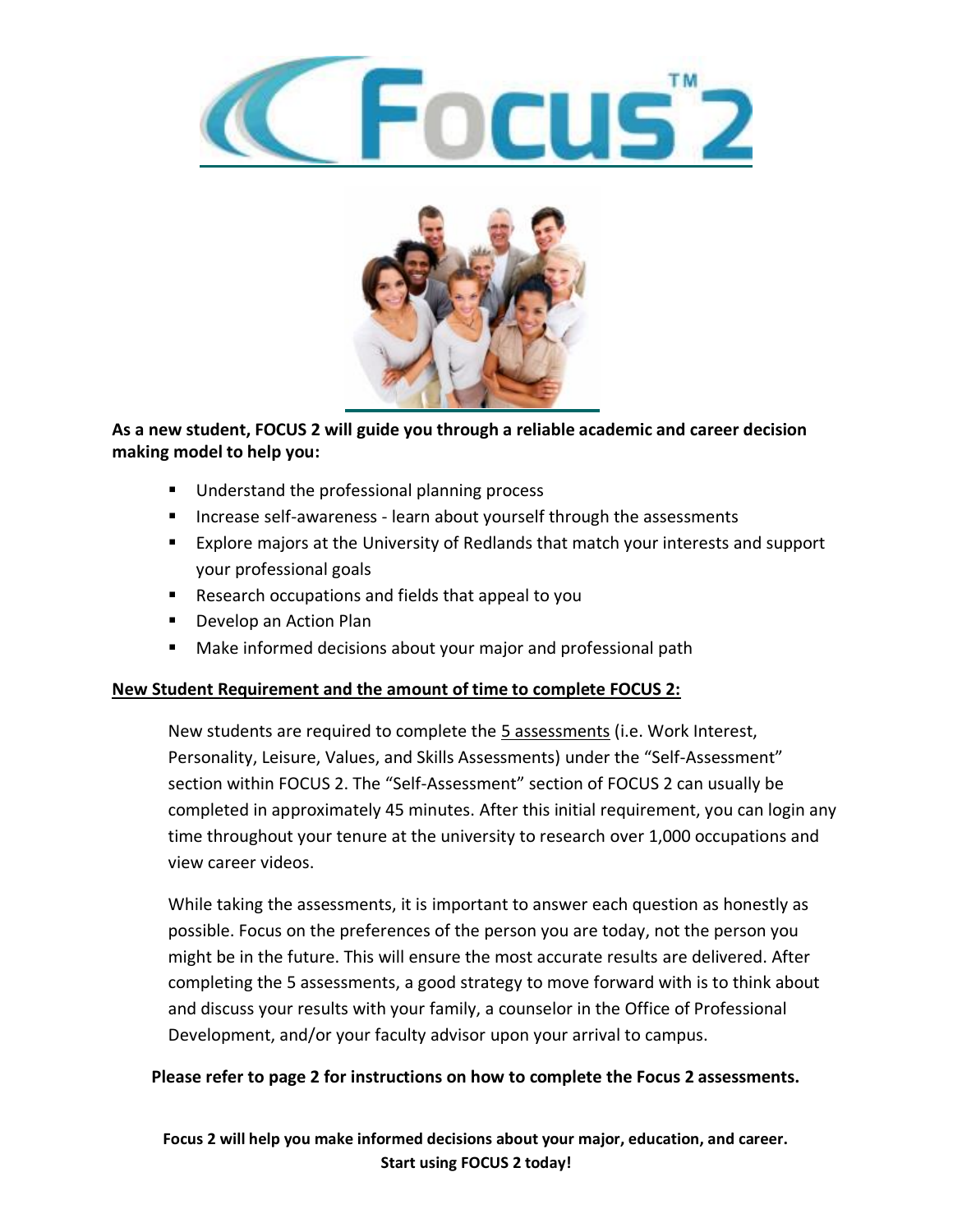



## **As a new student, FOCUS 2 will guide you through a reliable academic and career decision making model to help you:**

- Understand the professional planning process
- Increase self-awareness learn about yourself through the assessments
- Explore majors at the University of Redlands that match your interests and support your professional goals
- Research occupations and fields that appeal to you
- Develop an Action Plan
- Make informed decisions about your major and professional path

## **New Student Requirement and the amount of time to complete FOCUS 2:**

New students are required to complete the 5 assessments (i.e. Work Interest, Personality, Leisure, Values, and Skills Assessments) under the "Self-Assessment" section within FOCUS 2. The "Self-Assessment" section of FOCUS 2 can usually be completed in approximately 45 minutes. After this initial requirement, you can login any time throughout your tenure at the university to research over 1,000 occupations and view career videos.

While taking the assessments, it is important to answer each question as honestly as possible. Focus on the preferences of the person you are today, not the person you might be in the future. This will ensure the most accurate results are delivered. After completing the 5 assessments, a good strategy to move forward with is to think about and discuss your results with your family, a counselor in the Office of Professional Development, and/or your faculty advisor upon your arrival to campus.

## **Please refer to page 2 for instructions on how to complete the Focus 2 assessments.**

**Focus 2 will help you make informed decisions about your major, education, and career. Start using FOCUS 2 today!**